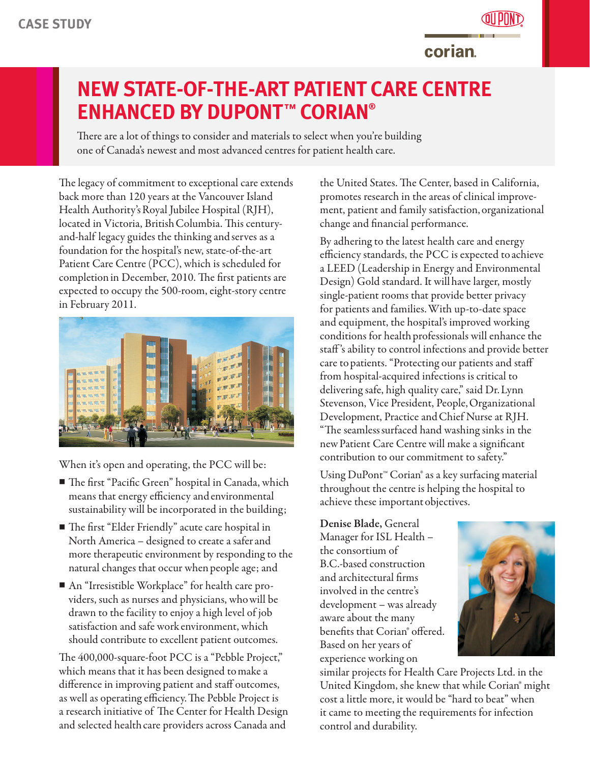

**corian** 

## **NEW STATE-OF-THE-ART PATIENT CARE CENTRE ENHANCED BY DUPONT™ CORIAN®**

There are a lot of things to consider and materials to select when you're building one of Canada's newest and most advanced centres for patient health care.

The legacy of commitment to exceptional care extends back more than 120 years at the Vancouver Island Health Authority'sRoyal Jubilee Hospital (RJH), located in Victoria, British Columbia. This centuryand-half legacy guides the thinking and serves as a foundation for the hospital's new, state-of-the-art Patient Care Centre (PCC), which is scheduled for completionin December, 2010. The first patients are expected to occupy the 500-room, eight-story centre in February 2011.



When it's open and operating, the PCC will be:

- n The first "Pacific Green" hospital in Canada, which means that energy efficiency andenvironmental sustainability will be incorporated in the building;
- The first "Elder Friendly" acute care hospital in North America – designed to create a saferand more therapeutic environment by responding to the natural changes that occur when people age; and
- An "Irresistible Workplace" for health care providers, such as nurses and physicians, whowill be drawn to the facility to enjoy a high level of job satisfaction and safe workenvironment, which should contribute to excellent patient outcomes.

The 400,000-square-foot PCC is a "Pebble Project," which means that it has been designed tomake a difference in improving patient and staff outcomes, as well as operating efficiency.The Pebble Project is a research initiative of The Center for Health Design and selected health care providers across Canada and

the United States. The Center, based in California, promotes research in the areas of clinical improvement, patient and family satisfaction,organizational change and financial performance.

By adhering to the latest health care and energy efficiency standards, the PCC is expected toachieve a LEED (Leadership in Energy and Environmental Design) Gold standard. It willhave larger, mostly single-patient rooms that provide better privacy for patients and families.With up-to-date space and equipment, the hospital's improved working conditions for health professionals will enhance the staff 's ability to control infections and provide better care to patients. "Protecting our patients and staff from hospital-acquired infections is critical to delivering safe, high quality care," said Dr.Lynn Stevenson, Vice President, People,Organizational Development, Practice andChief Nurse at RJH. "The seamlesssurfaced hand washing sinks in the newPatient Care Centre will make a significant contribution to our commitment to safety."

Using DuPont™ Corian® as a key surfacing material throughout the centre is helping the hospital to achieve these important objectives.

Denise Blade, General Manager for ISL Health – the consortium of B.C.-based construction and architectural firms involved in the centre's development – was already aware about the many benefits that Corian® offered. Based on her years of experience working on



similar projects for Health Care Projects Ltd. in the United Kingdom, she knew that while Corian® might cost a little more, it would be "hard to beat" when it came to meeting the requirements for infection control and durability.